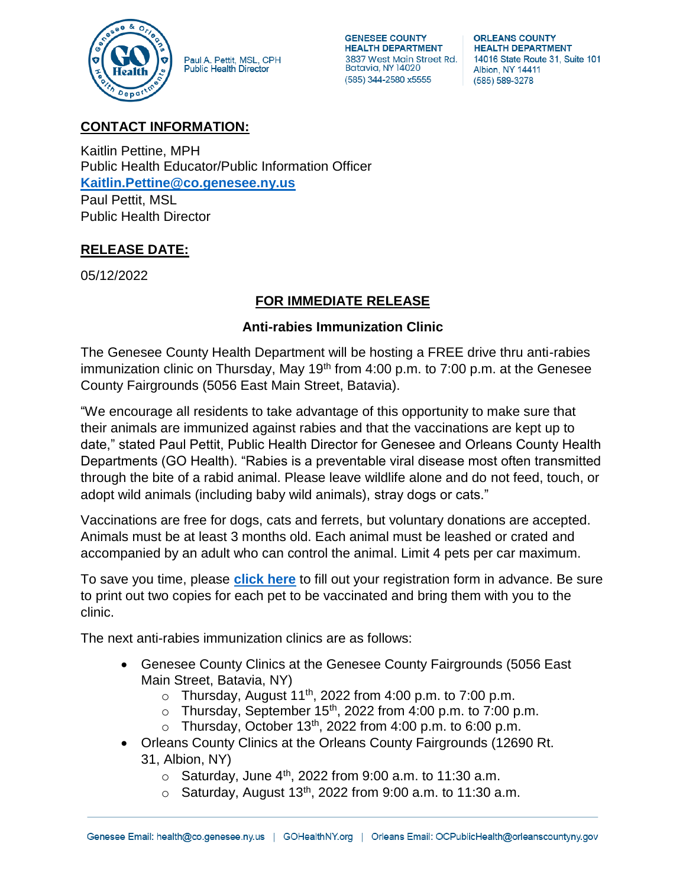

Paul A. Pettit, MSL, CPH<br>Public Health Director

**GENESEE COUNTY HEALTH DEPARTMENT** 3837 West Main Street Rd. Batavia, NY 14020 (585) 344-2580 x5555

**ORLEANS COUNTY HEALTH DEPARTMENT** 14016 State Route 31, Suite 101 Albion, NY 14411 (585) 589-3278

## **CONTACT INFORMATION:**

Kaitlin Pettine, MPH Public Health Educator/Public Information Officer **[Kaitlin.Pettine@co.genesee.ny.us](mailto:Kaitlin.Pettine@co.genesee.ny.us)** Paul Pettit, MSL Public Health Director

## **RELEASE DATE:**

05/12/2022

## **FOR IMMEDIATE RELEASE**

## **Anti-rabies Immunization Clinic**

The Genesee County Health Department will be hosting a FREE drive thru anti-rabies immunization clinic on Thursday, May  $19<sup>th</sup>$  from  $4:00$  p.m. to  $7:00$  p.m. at the Genesee County Fairgrounds (5056 East Main Street, Batavia).

"We encourage all residents to take advantage of this opportunity to make sure that their animals are immunized against rabies and that the vaccinations are kept up to date," stated Paul Pettit, Public Health Director for Genesee and Orleans County Health Departments (GO Health). "Rabies is a preventable viral disease most often transmitted through the bite of a rabid animal. Please leave wildlife alone and do not feed, touch, or adopt wild animals (including baby wild animals), stray dogs or cats."

Vaccinations are free for dogs, cats and ferrets, but voluntary donations are accepted. Animals must be at least 3 months old. Each animal must be leashed or crated and accompanied by an adult who can control the animal. Limit 4 pets per car maximum.

To save you time, please **[click here](https://gohealthny.org/app/uploads/2021/05/GOHealthRabiesVaccinationPreRegistrationFillable.pdf)** to fill out your registration form in advance. Be sure to print out two copies for each pet to be vaccinated and bring them with you to the clinic.

The next anti-rabies immunization clinics are as follows:

- Genesee County Clinics at the Genesee County Fairgrounds (5056 East Main Street, Batavia, NY)
	- $\circ$  Thursday, August 11<sup>th</sup>, 2022 from 4:00 p.m. to 7:00 p.m.
	- $\circ$  Thursday, September 15<sup>th</sup>, 2022 from 4:00 p.m. to 7:00 p.m.
	- $\circ$  Thursday, October 13<sup>th</sup>, 2022 from 4:00 p.m. to 6:00 p.m.
- Orleans County Clinics at the Orleans County Fairgrounds (12690 Rt. 31, Albion, NY)
	- $\circ$  Saturday, June 4<sup>th</sup>, 2022 from 9:00 a.m. to 11:30 a.m.
	- $\circ$  Saturday, August 13<sup>th</sup>, 2022 from 9:00 a.m. to 11:30 a.m.